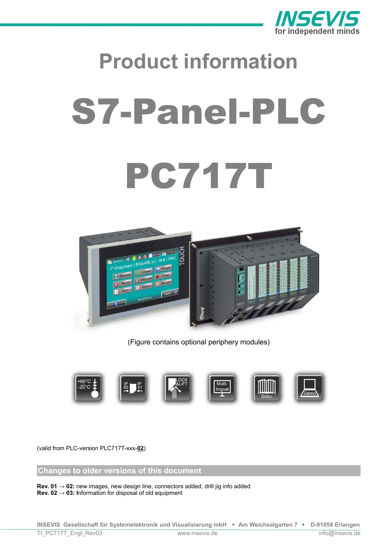

# **Product information** S7-Panel-PLC PC717T



(Figure contains optional periphery modules)



(valid from PLC-version PLC717T-xxx-**02**)

**Changes to older versions of this document**

**Rev. 01 → 02:** new images, new design line, connectors added, drill jig info added **Rev. 02 → 03: I**nformation for disposal of old equipment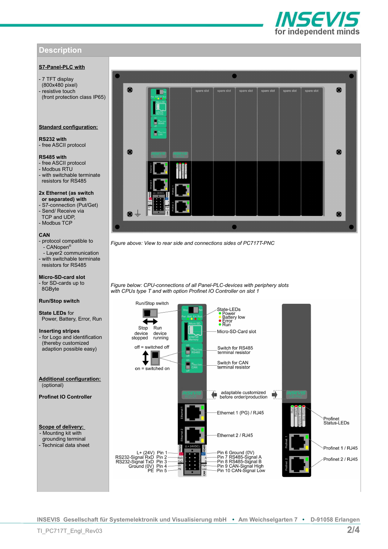# VSEVI for independent minds

# **Description**

# **S7-Panel-PLC with**

- 7 TFT display (800x480 pixel) resistive touch (front protection class IP65)

## **Standard configuration:**

**RS232 with** - free ASCII protocol

## **RS485 with**

- free ASCII protocol - Modbus RTU - with switchable terminate

resistors for RS485

## **2x Ethernet (as switch or separated) with**

- S7-connection (Put/Get) - Send/ Receive via TCP and UDP, - Modbus TCP

## **CAN**

- protocol compatible to .<br>- CANopen® - Layer2 communication - with switchable terminate resistors for RS485

**Micro-SD-card slot** - for SD-cards up to 8GByte

## **Run/Stop switch**

**State LEDs** for Power, Battery, Error, Run

**Inserting stripes**  - for Logo and identification (thereby customized adaption possible easy)

**Additional configuration:** (optional)

**Profinet IO Controller**

**Scope of delivery:**  - Mounting kit with grounding terminal - Technical data sheet



*Figure above: View to rear side and connections sides of PC717T-PNC*

*Figure below: CPU-connections of all Panel-PLC-devices with periphery slots with CPUs type T and with option Profinet IO Controller on slot 1*



**INSEVIS Gesellschaft für Systemelektronik und Visualisierung mbH • Am Weichselgarten 7 • D-91058 Erlangen**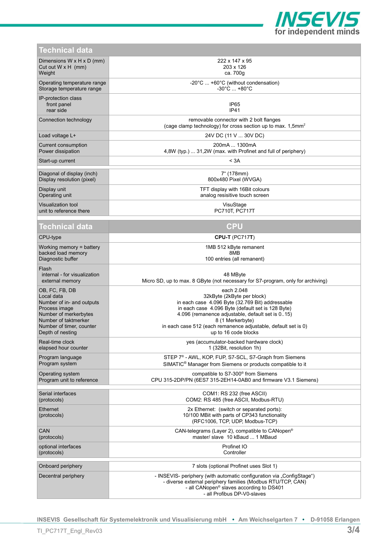

| Technical data                                           |                                                                                                                                                                                                                             |
|----------------------------------------------------------|-----------------------------------------------------------------------------------------------------------------------------------------------------------------------------------------------------------------------------|
| Dimensions $W \times H \times D$ (mm)                    | 222 x 147 x 95                                                                                                                                                                                                              |
| Cut out $W \times H$ (mm)                                | 203 x 126                                                                                                                                                                                                                   |
| Weight                                                   | ca. 700g                                                                                                                                                                                                                    |
| Operating temperature range                              | $-20^{\circ}$ C  +60 $^{\circ}$ C (without condensation)                                                                                                                                                                    |
| Storage temperature range                                | $-30^{\circ}$ C $ + 80^{\circ}$ C                                                                                                                                                                                           |
| IP-protection class<br>front panel<br>rear side          | IP65<br>IP41                                                                                                                                                                                                                |
| Connection technology                                    | removable connector with 2 bolt flanges<br>(cage clamp technology) for cross section up to max. 1,5mm <sup>2</sup>                                                                                                          |
| Load voltage L+                                          | 24V DC (11 V  30V DC)                                                                                                                                                                                                       |
| Current consumption                                      | 200mA  1300mA                                                                                                                                                                                                               |
| Power dissipation                                        | 4,8W (typ.)  31,2W (max. with Profinet and full of periphery)                                                                                                                                                               |
| Start-up current                                         | < 3A                                                                                                                                                                                                                        |
| Diagonal of display (inch)                               | 7" (178mm)                                                                                                                                                                                                                  |
| Display resolution (pixel)                               | 800x480 Pixel (WVGA)                                                                                                                                                                                                        |
| Display unit                                             | TFT display with 16Bit colours                                                                                                                                                                                              |
| Operating unit                                           | analog resisitive touch screen                                                                                                                                                                                              |
| Visualization tool                                       | VisuStage                                                                                                                                                                                                                   |
| unit to reference there                                  | PC710T, PC717T                                                                                                                                                                                                              |
| Technical data                                           | <b>CPU</b>                                                                                                                                                                                                                  |
| CPU-type                                                 | <b>CPU-T (PC717T)</b>                                                                                                                                                                                                       |
| Working memory $=$ battery                               | 1MB 512 kByte remanent                                                                                                                                                                                                      |
| backed load memory                                       | 8MB                                                                                                                                                                                                                         |
| Diagnostic buffer                                        | 100 entries (all remanent)                                                                                                                                                                                                  |
| Flash<br>internal - for visualization<br>external memory | 48 MByte<br>Micro SD, up to max. 8 GByte (not necessary for S7-program, only for archiving)                                                                                                                                 |
| OB, FC, FB, DB                                           | each 2.048                                                                                                                                                                                                                  |
| Local data                                               | 32kByte (2kByte per block)                                                                                                                                                                                                  |
| Number of in- and outputs                                | in each case 4.096 Byte (32.769 Bit) addressable                                                                                                                                                                            |
| Process image                                            | in each case 4.096 Byte (default set is 128 Byte)                                                                                                                                                                           |
| Number of merkerbytes                                    | 4.096 (remanence adjustable, default set is 015)                                                                                                                                                                            |
| Number of taktmerker                                     | 8 (1 Merkerbyte)                                                                                                                                                                                                            |
| Number of timer, counter                                 | in each case 512 (each remanence adjustable, default set is 0)                                                                                                                                                              |
| Depth of nesting                                         | up to 16 code blocks                                                                                                                                                                                                        |
| Real-time clock                                          | yes (accumulator-backed hardware clock)                                                                                                                                                                                     |
| elapsed hour counter                                     | 1 (32Bit, resolution 1h)                                                                                                                                                                                                    |
| Program language                                         | STEP 7 <sup>®</sup> - AWL, KOP, FUP, S7-SCL, S7-Graph from Siemens                                                                                                                                                          |
| Program system                                           | SIMATIC <sup>®</sup> Manager from Siemens or products compatible to it                                                                                                                                                      |
| Operating system                                         | compatible to S7-300 <sup>®</sup> from Siemens                                                                                                                                                                              |
| Program unit to reference                                | CPU 315-2DP/PN (6ES7 315-2EH14-0AB0 and firmware V3.1 Siemens)                                                                                                                                                              |
| Serial interfaces                                        | COM1: RS 232 (free ASCII)                                                                                                                                                                                                   |
| (protocols)                                              | COM2: RS 485 (free ASCII, Modbus-RTU)                                                                                                                                                                                       |
| Ethernet<br>(protocols)                                  | 2x Ethernet: (switch or separated ports):<br>10/100 MBit with parts of CP343 functionality<br>(RFC1006, TCP, UDP, Modbus-TCP)                                                                                               |
| CAN                                                      | CAN-telegrams (Layer 2), compatible to CANopen <sup>®</sup>                                                                                                                                                                 |
| (protocols)                                              | master/ slave 10 kBaud  1 MBaud                                                                                                                                                                                             |
| optional interfaces                                      | Profinet IO                                                                                                                                                                                                                 |
| (protocols)                                              | Controller                                                                                                                                                                                                                  |
| Onboard periphery                                        | 7 slots (optional Profinet uses Slot 1)                                                                                                                                                                                     |
| Decentral periphery                                      | - INSEVIS- periphery (with automatic configuration via "ConfigStage")<br>- diverse external periphery families (Modbus RTU/TCP, CAN)<br>- all CANopen <sup>®</sup> slaves according to DS401<br>- all Profibus DP-V0-slaves |

**INSEVIS Gesellschaft für Systemelektronik und Visualisierung mbH • Am Weichselgarten 7 • D-91058 Erlangen**